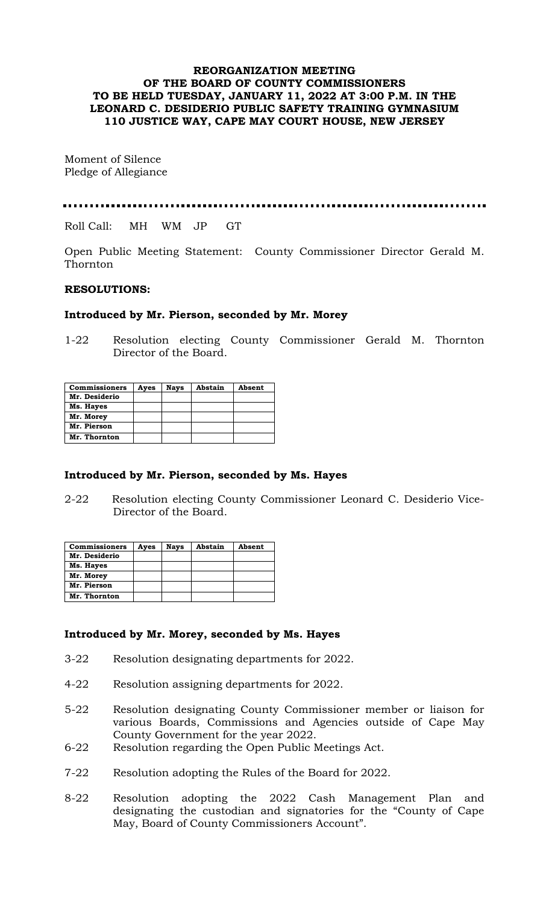# **REORGANIZATION MEETING OF THE BOARD OF COUNTY COMMISSIONERS TO BE HELD TUESDAY, JANUARY 11, 2022 AT 3:00 P.M. IN THE LEONARD C. DESIDERIO PUBLIC SAFETY TRAINING GYMNASIUM 110 JUSTICE WAY, CAPE MAY COURT HOUSE, NEW JERSEY**

Moment of Silence Pledge of Allegiance

Roll Call: MH WM JP GT

Open Public Meeting Statement: County Commissioner Director Gerald M. Thornton

### **RESOLUTIONS:**

### **Introduced by Mr. Pierson, seconded by Mr. Morey**

1-22 Resolution electing County Commissioner Gerald M. Thornton Director of the Board.

| <b>Commissioners</b> | Ayes | <b>Nays</b> | Abstain | Absent |
|----------------------|------|-------------|---------|--------|
| Mr. Desiderio        |      |             |         |        |
| Ms. Hayes            |      |             |         |        |
| Mr. Morey            |      |             |         |        |
| Mr. Pierson          |      |             |         |        |
| Mr. Thornton         |      |             |         |        |

#### **Introduced by Mr. Pierson, seconded by Ms. Hayes**

2-22 Resolution electing County Commissioner Leonard C. Desiderio Vice-Director of the Board.

| <b>Commissioners</b> | Ayes | <b>Nays</b> | Abstain | Absent |
|----------------------|------|-------------|---------|--------|
| Mr. Desiderio        |      |             |         |        |
| Ms. Hayes            |      |             |         |        |
| Mr. Morey            |      |             |         |        |
| Mr. Pierson          |      |             |         |        |
| Mr. Thornton         |      |             |         |        |

# **Introduced by Mr. Morey, seconded by Ms. Hayes**

- 3-22 Resolution designating departments for 2022.
- 4-22 Resolution assigning departments for 2022.
- 5-22 Resolution designating County Commissioner member or liaison for various Boards, Commissions and Agencies outside of Cape May County Government for the year 2022.
- 6-22 Resolution regarding the Open Public Meetings Act.
- 7-22 Resolution adopting the Rules of the Board for 2022.
- 8-22 Resolution adopting the 2022 Cash Management Plan and designating the custodian and signatories for the "County of Cape May, Board of County Commissioners Account".